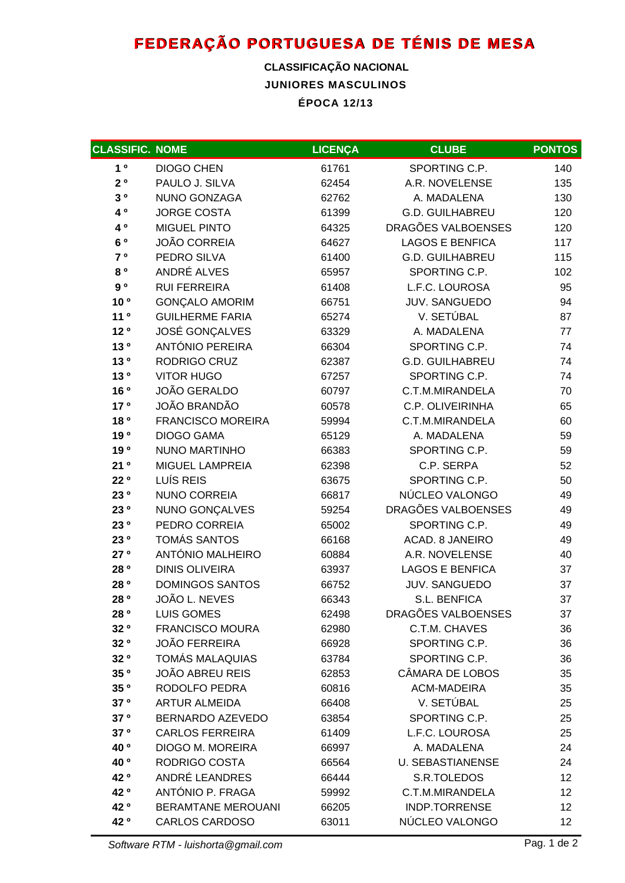## **FEDERAÇÃO PORTUGUESA DE TÉNIS DE MESA**

## **JUNIORES MASCULINOS ÉPOCA 12/13 CLASSIFICAÇÃO NACIONAL**

| <b>CLASSIFIC. NOME</b> |                           | <b>LICENÇA</b> | <b>CLUBE</b>            | <b>PONTOS</b>     |
|------------------------|---------------------------|----------------|-------------------------|-------------------|
| 1 <sup>0</sup>         | <b>DIOGO CHEN</b>         | 61761          | SPORTING C.P.           | 140               |
| $2^o$                  | PAULO J. SILVA            | 62454          | A.R. NOVELENSE          | 135               |
| $3^o$                  | NUNO GONZAGA              | 62762          | A. MADALENA             | 130               |
| 40                     | <b>JORGE COSTA</b>        | 61399          | <b>G.D. GUILHABREU</b>  | 120               |
| 40                     | <b>MIGUEL PINTO</b>       | 64325          | DRAGÕES VALBOENSES      | 120               |
| 60                     | <b>JOÃO CORREIA</b>       | 64627          | <b>LAGOS E BENFICA</b>  | 117               |
| 7 °                    | PEDRO SILVA               | 61400          | <b>G.D. GUILHABREU</b>  | 115               |
| 80                     | ANDRÉ ALVES               | 65957          | SPORTING C.P.           | 102               |
| 90                     | <b>RUI FERREIRA</b>       | 61408          | L.F.C. LOUROSA          | 95                |
| 10 <sup>o</sup>        | <b>GONÇALO AMORIM</b>     | 66751          | JUV. SANGUEDO           | 94                |
| 11 <sup>0</sup>        | <b>GUILHERME FARIA</b>    | 65274          | V. SETÚBAL              | 87                |
| 12 <sup>o</sup>        | <b>JOSÉ GONÇALVES</b>     | 63329          | A. MADALENA             | 77                |
| 13 <sup>o</sup>        | ANTÓNIO PEREIRA           | 66304          | SPORTING C.P.           | 74                |
| 130                    | RODRIGO CRUZ              | 62387          | <b>G.D. GUILHABREU</b>  | 74                |
| 130                    | <b>VITOR HUGO</b>         | 67257          | SPORTING C.P.           | 74                |
| 16 <sup>o</sup>        | <b>JOÃO GERALDO</b>       | 60797          | C.T.M.MIRANDELA         | 70                |
| 17 <sup>o</sup>        | <b>JOÃO BRANDÃO</b>       | 60578          | C.P. OLIVEIRINHA        | 65                |
| 18 <sup>o</sup>        | <b>FRANCISCO MOREIRA</b>  | 59994          | C.T.M.MIRANDELA         | 60                |
| 19 <sup>o</sup>        | <b>DIOGO GAMA</b>         | 65129          | A. MADALENA             | 59                |
| 190                    | <b>NUNO MARTINHO</b>      | 66383          | SPORTING C.P.           | 59                |
| 21°                    | MIGUEL LAMPREIA           | 62398          | C.P. SERPA              | 52                |
| 22 <sup>o</sup>        | LUÍS REIS                 | 63675          | SPORTING C.P.           | 50                |
| 23 0                   | <b>NUNO CORREIA</b>       | 66817          | NÚCLEO VALONGO          | 49                |
| 23 °                   | NUNO GONÇALVES            | 59254          | DRAGÕES VALBOENSES      | 49                |
| 23 0                   | PEDRO CORREIA             | 65002          | SPORTING C.P.           | 49                |
| 23 0                   | <b>TOMÁS SANTOS</b>       | 66168          | ACAD. 8 JANEIRO         | 49                |
| 27 <sup>o</sup>        | ANTÓNIO MALHEIRO          | 60884          | A.R. NOVELENSE          | 40                |
| 28 <sup>o</sup>        | <b>DINIS OLIVEIRA</b>     | 63937          | <b>LAGOS E BENFICA</b>  | 37                |
| 28 <sup>o</sup>        | <b>DOMINGOS SANTOS</b>    | 66752          | <b>JUV. SANGUEDO</b>    | 37                |
| 28 °                   | JOÃO L. NEVES             | 66343          | S.L. BENFICA            | 37                |
| 28 <sup>o</sup>        | <b>LUIS GOMES</b>         | 62498          | DRAGÕES VALBOENSES      | 37                |
| 32 <sup>o</sup>        | <b>FRANCISCO MOURA</b>    | 62980          | C.T.M. CHAVES           | 36                |
| 32 <sup>o</sup>        | <b>JOÃO FERREIRA</b>      | 66928          | SPORTING C.P.           | 36                |
| 32 <sup>o</sup>        | <b>TOMÁS MALAQUIAS</b>    | 63784          | SPORTING C.P.           | 36                |
| 35 <sup>o</sup>        | JOÃO ABREU REIS           | 62853          | CÂMARA DE LOBOS         | 35                |
| 35 <sup>o</sup>        | RODOLFO PEDRA             | 60816          | <b>ACM-MADEIRA</b>      | 35                |
| 37 <sup>o</sup>        | <b>ARTUR ALMEIDA</b>      | 66408          | V. SETÚBAL              | 25                |
| 37 <sup>o</sup>        | BERNARDO AZEVEDO          | 63854          | SPORTING C.P.           | 25                |
| 37 <sup>o</sup>        | <b>CARLOS FERREIRA</b>    | 61409          | L.F.C. LOUROSA          | 25                |
| 40 <sup>o</sup>        | <b>DIOGO M. MOREIRA</b>   | 66997          | A. MADALENA             | 24                |
| 40 <sup>o</sup>        | RODRIGO COSTA             | 66564          | <b>U. SEBASTIANENSE</b> | 24                |
| 42 °                   | ANDRÉ LEANDRES            | 66444          | S.R.TOLEDOS             | 12                |
| 42 °                   | ANTÓNIO P. FRAGA          | 59992          | C.T.M.MIRANDELA         | $12 \overline{ }$ |
| 42 °                   | <b>BERAMTANE MEROUANI</b> | 66205          | <b>INDP.TORRENSE</b>    | 12                |
| 42 °                   | <b>CARLOS CARDOSO</b>     | 63011          | NÚCLEO VALONGO          | 12                |